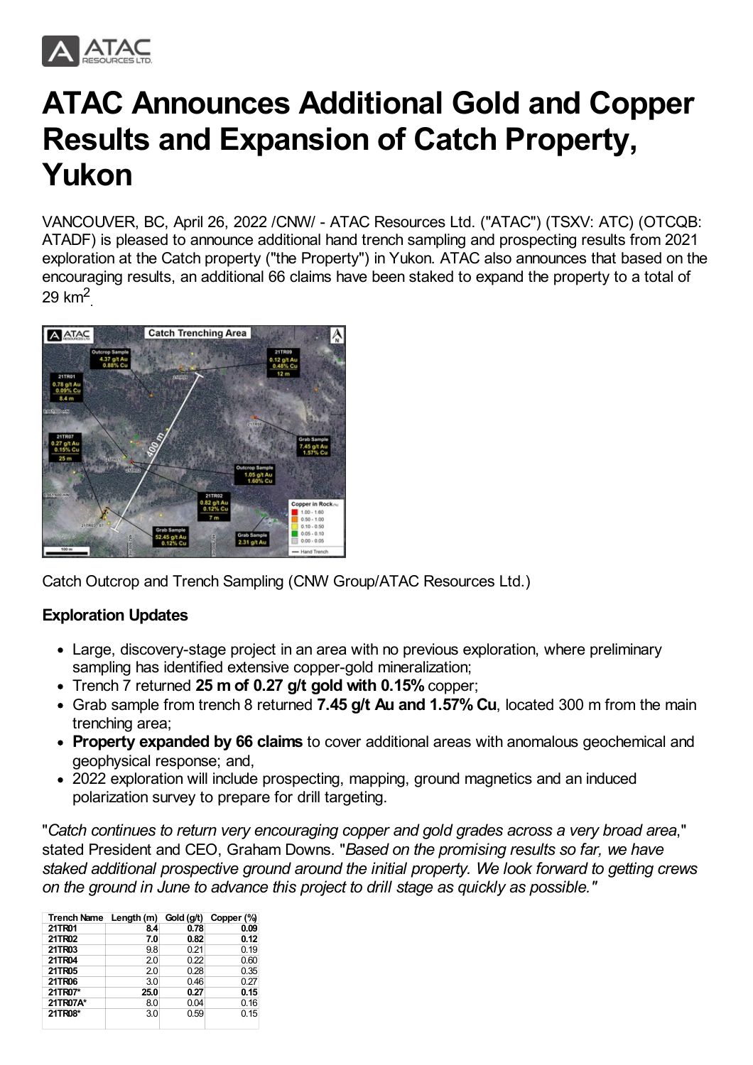

# **ATAC Announces Additional Gold and Copper Results and Expansion of Catch Property, Yukon**

VANCOUVER, BC, April 26, 2022 /CNW/ - ATAC Resources Ltd. ("ATAC") (TSXV: ATC) (OTCQB: ATADF) is pleased to announce additional hand trench sampling and prospecting results from 2021 exploration at the Catch property ("the Property") in Yukon. ATAC also announces that based on the encouraging results, an additional 66 claims have been staked to expand the property to a total of  $29 \text{ km}^2$ 



Catch Outcrop and Trench Sampling (CNW Group/ATAC Resources Ltd.)

# **Exploration Updates**

- Large, discovery-stage project in an area with no previous exploration, where preliminary sampling has identified extensive copper-gold mineralization;
- Trench 7 returned **25 m of 0.27 g/t gold with 0.15%** copper;
- Grab sample from trench 8 returned **7.45 g/t Au and 1.57% Cu**, located 300 m from the main trenching area;
- **Property expanded by 66 claims** to cover additional areas with anomalous geochemical and geophysical response; and,
- 2022 exploration will include prospecting, mapping, ground magnetics and an induced polarization survey to prepare for drill targeting.

"*Catch continues to return very encouraging copper and gold grades across a very broad area*," stated President and CEO, Graham Downs. "*Based on the promising results so far, we have staked additional prospective ground around the initial property. We look forward to getting crews on the ground in June to advance this project to drill stage as quickly as possible."*

| Trench Name Length (m) |      | Gold (g/t) | Copper (%) |
|------------------------|------|------------|------------|
| 21TR01                 | 8.4  | 0.78       | 0.09       |
| 21TR02                 | 7.0  | 0.82       | 0.12       |
| 21TR03                 | 9.8  | 0.21       | 0.19       |
| 21TR04                 | 2.0  | 0.22       | 0.60       |
| 21TR05                 | 2.0  | 0.28       | 0.35       |
| 21TR06                 | 3.0  | 0.46       | 0.27       |
| 21TR07*                | 25.0 | 0.27       | 0.15       |
| 21TR07A*               | 8.0  | 0.04       | 0.16       |
| 21TR08*                | 3.0  | 0.59       | 0.15       |
|                        |      |            |            |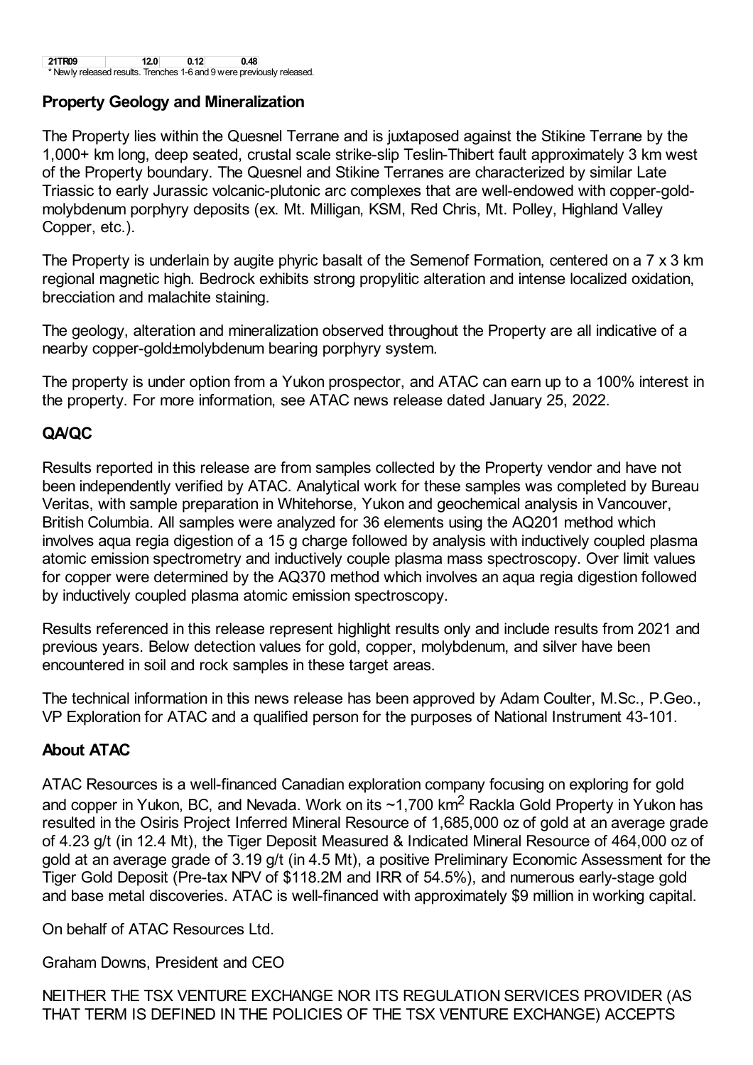**21TR09 12.0 0.12 0.48** Newly released results. Trenches 1-6 and 9 were previously released.

#### **Property Geology and Mineralization**

The Property lies within the Quesnel Terrane and is juxtaposed against the Stikine Terrane by the 1,000+ km long, deep seated, crustal scale strike-slip Teslin-Thibert fault approximately 3 km west of the Property boundary. The Quesnel and Stikine Terranes are characterized by similar Late Triassic to early Jurassic volcanic-plutonic arc complexes that are well-endowed with copper-goldmolybdenum porphyry deposits (ex. Mt. Milligan, KSM, Red Chris, Mt. Polley, Highland Valley Copper, etc.).

The Property is underlain by augite phyric basalt of the Semenof Formation, centered on a 7 x 3 km regional magnetic high. Bedrock exhibits strong propylitic alteration and intense localized oxidation, brecciation and malachite staining.

The geology, alteration and mineralization observed throughout the Property are all indicative of a nearby copper-gold±molybdenum bearing porphyry system.

The property is under option from a Yukon prospector, and ATAC can earn up to a 100% interest in the property. For more information, see ATAC news release dated January 25, 2022.

## **QA/QC**

Results reported in this release are from samples collected by the Property vendor and have not been independently verified by ATAC. Analytical work for these samples was completed by Bureau Veritas, with sample preparation in Whitehorse, Yukon and geochemical analysis in Vancouver, British Columbia. All samples were analyzed for 36 elements using the AQ201 method which involves aqua regia digestion of a 15 g charge followed by analysis with inductively coupled plasma atomic emission spectrometry and inductively couple plasma mass spectroscopy. Over limit values for copper were determined by the AQ370 method which involves an aqua regia digestion followed by inductively coupled plasma atomic emission spectroscopy.

Results referenced in this release represent highlight results only and include results from 2021 and previous years. Below detection values for gold, copper, molybdenum, and silver have been encountered in soil and rock samples in these target areas.

The technical information in this news release has been approved by Adam Coulter, M.Sc., P.Geo., VP Exploration for ATAC and a qualified person for the purposes of National Instrument 43-101.

#### **About ATAC**

ATAC Resources is a well-financed Canadian exploration company focusing on exploring for gold and copper in Yukon, BC, and Nevada. Work on its  $\sim$ 1,700 km<sup>2</sup> Rackla Gold Property in Yukon has resulted in the Osiris Project Inferred Mineral Resource of 1,685,000 oz of gold at an average grade of 4.23 g/t (in 12.4 Mt), the Tiger Deposit Measured & Indicated Mineral Resource of 464,000 oz of gold at an average grade of 3.19 g/t (in 4.5 Mt), a positive Preliminary Economic Assessment for the Tiger Gold Deposit (Pre-tax NPV of \$118.2M and IRR of 54.5%), and numerous early-stage gold and base metal discoveries. ATAC is well-financed with approximately \$9 million in working capital.

On behalf of ATAC Resources Ltd.

Graham Downs, President and CEO

NEITHER THE TSX VENTURE EXCHANGE NOR ITS REGULATION SERVICES PROVIDER (AS THAT TERM IS DEFINED IN THE POLICIES OF THE TSX VENTURE EXCHANGE) ACCEPTS